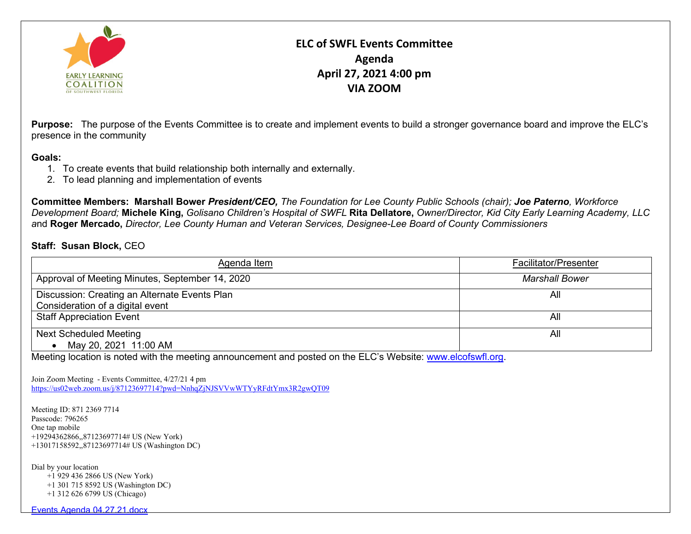

## **ELC of SWFL Events Committee Agenda April 27, 2021 4:00 pm VIA ZOOM**

**Purpose:** The purpose of the Events Committee is to create and implement events to build a stronger governance board and improve the ELC's presence in the community

## **Goals:**

- 1. To create events that build relationship both internally and externally.
- 2. To lead planning and implementation of events

**Committee Members: Marshall Bower** *President/CEO, The Foundation for Lee County Public Schools (chair); Joe Paterno, Workforce Development Board;* **Michele King,** *Golisano Children's Hospital of SWFL* **Rita Dellatore,** *Owner/Director, Kid City Early Learning Academy, LLC a*nd **Roger Mercado,** *Director, Lee County Human and Veteran Services, Designee-Lee Board of County Commissioners*

## **Staff: Susan Block,** CEO

| Agenda Item                                                                       | <b>Facilitator/Presenter</b> |
|-----------------------------------------------------------------------------------|------------------------------|
| Approval of Meeting Minutes, September 14, 2020                                   | <b>Marshall Bower</b>        |
| Discussion: Creating an Alternate Events Plan<br>Consideration of a digital event | All                          |
| <b>Staff Appreciation Event</b>                                                   | All                          |
| <b>Next Scheduled Meeting</b>                                                     | All                          |
| May 20, 2021 11:00 AM                                                             |                              |

Meeting location is noted with the meeting announcement and posted on the ELC's Website: [www.elcofswfl.org.](http://www.elcofswfl.org/)

Join Zoom Meeting - Events Committee, 4/27/21 4 pm <https://us02web.zoom.us/j/87123697714?pwd=NnhqZjNJSVVwWTYyRFdtYmx3R2gwQT09>

Meeting ID: 871 2369 7714 Passcode: 796265 One tap mobile +19294362866,,87123697714# US (New York) +13017158592,,87123697714# US (Washington DC)

Dial by your location

 +1 929 436 2866 US (New York) +1 301 715 8592 US (Washington DC) +1 312 626 6799 US (Chicago)

Events Agenda 04.27.21.docx